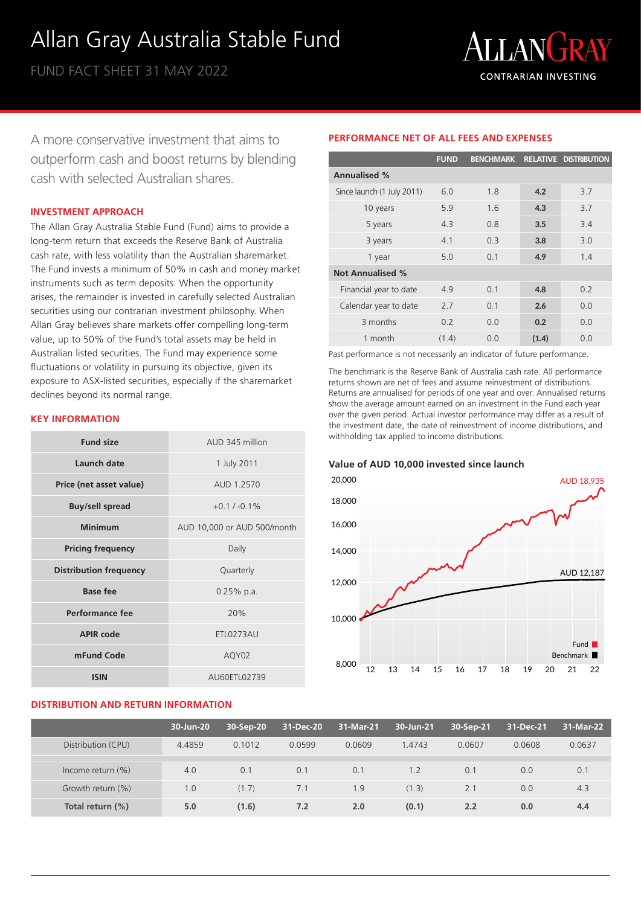# Allan Gray Australia Stable Fund

FUND FACT SHEET 31 MAY 2022



A more conservative investment that aims to outperform cash and boost returns by blending cash with selected Australian shares.

### **INVESTMENT APPROACH**

The Allan Gray Australia Stable Fund (Fund) aims to provide a long-term return that exceeds the Reserve Bank of Australia cash rate, with less volatility than the Australian sharemarket. The Fund invests a minimum of 50% in cash and money market instruments such as term deposits. When the opportunity arises, the remainder is invested in carefully selected Australian securities using our contrarian investment philosophy. When Allan Gray believes share markets offer compelling long-term value, up to 50% of the Fund's total assets may be held in Australian listed securities. The Fund may experience some fluctuations or volatility in pursuing its objective, given its exposure to ASX-listed securities, especially if the sharemarket declines beyond its normal range.

# **KEY INFORMATION**

| <b>Fund size</b>              | AUD 345 million             |
|-------------------------------|-----------------------------|
| <b>Launch date</b>            | 1 July 2011                 |
| Price (net asset value)       | AUD 1.2570                  |
| <b>Buy/sell spread</b>        | $+0.1 / -0.1\%$             |
| <b>Minimum</b>                | AUD 10,000 or AUD 500/month |
| <b>Pricing frequency</b>      | Daily                       |
| <b>Distribution frequency</b> | Quarterly                   |
| <b>Base fee</b>               | $0.25%$ p.a.                |
| Performance fee               | 20%                         |
| <b>APIR code</b>              | <b>ETL0273AU</b>            |
| mFund Code                    | AQY02                       |
| <b>ISIN</b>                   | AU60ETL02739                |

# **DISTRIBUTION AND RETURN INFORMATION**

# **PERFORMANCE NET OF ALL FEES AND EXPENSES**

|                            | <b>FUND</b> | <b>BENCHMARK</b> |       | <b>RELATIVE DISTRIBUTION</b> |
|----------------------------|-------------|------------------|-------|------------------------------|
| <b>Annualised %</b>        |             |                  |       |                              |
| Since launch (1 July 2011) | 6.0         | 1.8              | 4.2   | 3.7                          |
| 10 years                   | 5.9         | 1.6              | 4.3   | 3.7                          |
| 5 years                    | 4.3         | 0.8              | 3.5   | 3.4                          |
| 3 years                    | 4.1         | 0.3              | 3.8   | 3.0                          |
| 1 year                     | 5.0         | 0.1              | 4.9   | 1.4                          |
| <b>Not Annualised %</b>    |             |                  |       |                              |
| Financial year to date     | 49          | 0.1              | 4.8   | 0.2                          |
| Calendar year to date      | 2.7         | 0.1              | 2.6   | 0.0                          |
| 3 months                   | 0.2         | 0 <sub>0</sub>   | 0.2   | 0.0                          |
| 1 month                    | (1.4)       | 0 O              | (1.4) | 0 Q                          |

Past performance is not necessarily an indicator of future performance.

The benchmark is the Reserve Bank of Australia cash rate. All performance returns shown are net of fees and assume reinvestment of distributions. Returns are annualised for periods of one year and over. Annualised returns show the average amount earned on an investment in the Fund each year over the given period. Actual investor performance may differ as a result of the investment date, the date of reinvestment of income distributions, and withholding tax applied to income distributions.

**Value of AUD 10,000 invested since launch**



|                      | 30-Jun-20 | 30-Sep-20 | 31-Dec-20 | 31-Mar-21 | 30-Jun-21 | 30-Sep-21 | 31-Dec-21 | 31-Mar-22 |
|----------------------|-----------|-----------|-----------|-----------|-----------|-----------|-----------|-----------|
| Distribution (CPU)   | 4.4859    | 0.1012    | 0.0599    | 0.0609    | 1.4743    | 0.0607    | 0.0608    | 0.0637    |
|                      |           |           |           |           |           |           |           |           |
| Income return $(\%)$ | 4.0       | 0.1       | 0.1       | 0.1       | 1.2       | 0.1       | 0.0       | 0.1       |
| Growth return (%)    | 1.0       | (1.7)     | 7.1       | 1.9       | (1.3)     | 2.1       | 0.0       | 4.3       |
| Total return (%)     | 5.0       | (1.6)     | 7.2       | 2.0       | (0.1)     | 2.2       | 0.0       | 4.4       |